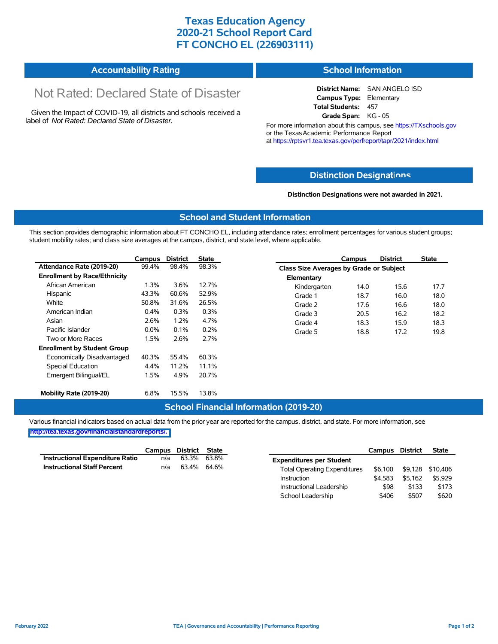# **Texas Education Agency 2020-21 School Report Card FT CONCHO EL (226903111)**

#### **Accountability Rating School Information**

# Not Rated: Declared State of Disaster

Given the Impact of COVID-19, all districts and schools received a label of *Not Rated: Declared State of Disaster.*

**District Name:** SAN ANGELO ISD **Campus Type:** Elementary **Total Students:** 457 **Grade Span:** KG - 05

For more information about this campus, see https://TXschools.gov or the Texas Academic Performance Report at https://rptsvr1.tea.texas.gov/perfreport/tapr/2021/index.html

### **Distinction Designat[ions](https://TXschools.gov)**

**Distinction Designations were not awarded in 2021.**

School Leadership  $$406$  \$507 \$620

#### **School and Student Information**

This section provides demographic information about FT CONCHO EL, including attendance rates; enrollment percentages for various student groups; student mobility rates; and class size averages at the campus, district, and state level, where applicable.

|                                     | Campus  | <b>District</b> | State |              | Campus                                  | <b>District</b> | <b>State</b> |  |  |  |
|-------------------------------------|---------|-----------------|-------|--------------|-----------------------------------------|-----------------|--------------|--|--|--|
| Attendance Rate (2019-20)           | 99.4%   | 98.4%           | 98.3% |              | Class Size Averages by Grade or Subject |                 |              |  |  |  |
| <b>Enrollment by Race/Ethnicity</b> |         |                 |       | Elementary   |                                         |                 |              |  |  |  |
| African American                    | 1.3%    | 3.6%            | 12.7% | Kindergarten | 14.0                                    | 15.6            | 17.7         |  |  |  |
| Hispanic                            | 43.3%   | 60.6%           | 52.9% | Grade 1      | 18.7                                    | 16.0            | 18.0         |  |  |  |
| White                               | 50.8%   | 31.6%           | 26.5% | Grade 2      | 17.6                                    | 16.6            | 18.0         |  |  |  |
| American Indian                     | $0.4\%$ | 0.3%            | 0.3%  | Grade 3      | 20.5                                    | 16.2            | 18.2         |  |  |  |
| Asian                               | 2.6%    | 1.2%            | 4.7%  | Grade 4      | 18.3                                    | 15.9            | 18.3         |  |  |  |
| Pacific Islander                    | $0.0\%$ | 0.1%            | 0.2%  | Grade 5      | 18.8                                    | 17.2            | 19.8         |  |  |  |
| Two or More Races                   | 1.5%    | 2.6%            | 2.7%  |              |                                         |                 |              |  |  |  |
| <b>Enrollment by Student Group</b>  |         |                 |       |              |                                         |                 |              |  |  |  |
| Economically Disadvantaged          | 40.3%   | 55.4%           | 60.3% |              |                                         |                 |              |  |  |  |
| Special Education                   | 4.4%    | 11.2%           | 11.1% |              |                                         |                 |              |  |  |  |
| Emergent Bilingual/EL               | 1.5%    | 4.9%            | 20.7% |              |                                         |                 |              |  |  |  |
|                                     |         |                 |       |              |                                         |                 |              |  |  |  |
| Mobility Rate (2019-20)             | 6.8%    | 15.5%           | 13.8% |              |                                         |                 |              |  |  |  |

#### **School Financial Information (2019-20)**

Various financial indicators based on actual data from the prior year are reported for the campus, district, and state. For more information, see

**[http://tea.texas.gov/financialstandardreports/.](http://tea.texas.gov/financialstandardreports/)**

|                                        | Campus | District | State       |                                     | Campus  | <b>District</b> | <b>State</b>     |
|----------------------------------------|--------|----------|-------------|-------------------------------------|---------|-----------------|------------------|
| <b>Instructional Expenditure Ratio</b> | n/a    | 63.3%    | 63.8%       | <b>Expenditures per Student</b>     |         |                 |                  |
| <b>Instructional Staff Percent</b>     | n/a    |          | 63.4% 64.6% | <b>Total Operating Expenditures</b> | \$6.100 |                 | \$9,128 \$10,406 |
|                                        |        |          |             | Instruction                         | \$4.583 | \$5.162         | \$5,929          |
|                                        |        |          |             | Instructional Leadership            | \$98    | \$133           | \$173            |